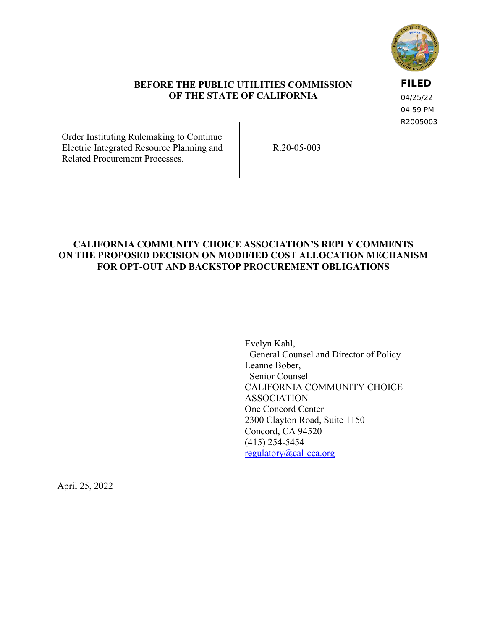

#### **BEFORE THE PUBLIC UTILITIES COMMISSION OF THE STATE OF CALIFORNIA**

**FILED**

04/25/22 04:59 PM R2005003

Order Instituting Rulemaking to Continue Electric Integrated Resource Planning and Related Procurement Processes.

R.20-05-003

#### **CALIFORNIA COMMUNITY CHOICE ASSOCIATION'S REPLY COMMENTS ON THE PROPOSED DECISION ON MODIFIED COST ALLOCATION MECHANISM FOR OPT-OUT AND BACKSTOP PROCUREMENT OBLIGATIONS**

Evelyn Kahl, General Counsel and Director of Policy Leanne Bober, Senior Counsel CALIFORNIA COMMUNITY CHOICE ASSOCIATION One Concord Center 2300 Clayton Road, Suite 1150 Concord, CA 94520 (415) 254-5454 [regulatory@cal-cca.org](mailto:regulatory@cal-cca.org)

April 25, 2022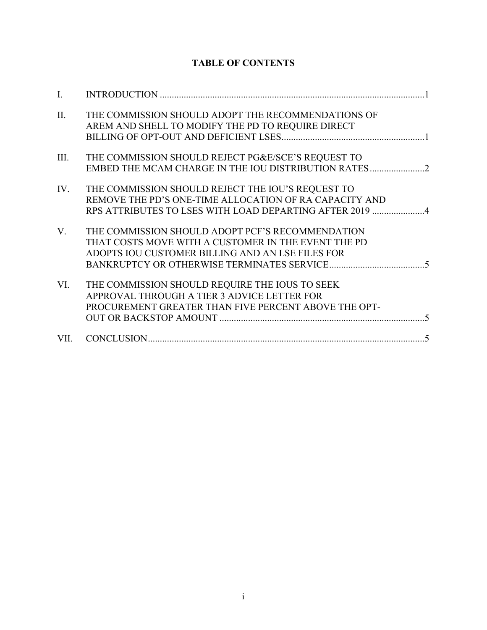# **TABLE OF CONTENTS**

| $\mathbf{L}$ |                                                                                                                                                                        |
|--------------|------------------------------------------------------------------------------------------------------------------------------------------------------------------------|
| II.          | THE COMMISSION SHOULD ADOPT THE RECOMMENDATIONS OF<br>AREM AND SHELL TO MODIFY THE PD TO REQUIRE DIRECT                                                                |
| III.         | THE COMMISSION SHOULD REJECT PG&E/SCE'S REQUEST TO<br>EMBED THE MCAM CHARGE IN THE IOU DISTRIBUTION RATES2                                                             |
| IV.          | THE COMMISSION SHOULD REJECT THE IOU'S REQUEST TO<br>REMOVE THE PD'S ONE-TIME ALLOCATION OF RA CAPACITY AND<br>RPS ATTRIBUTES TO LSES WITH LOAD DEPARTING AFTER 2019 4 |
| V.           | THE COMMISSION SHOULD ADOPT PCF'S RECOMMENDATION<br>THAT COSTS MOVE WITH A CUSTOMER IN THE EVENT THE PD<br>ADOPTS IOU CUSTOMER BILLING AND AN LSE FILES FOR            |
| VI.          | THE COMMISSION SHOULD REQUIRE THE IOUS TO SEEK<br>APPROVAL THROUGH A TIER 3 ADVICE LETTER FOR<br>PROCUREMENT GREATER THAN FIVE PERCENT ABOVE THE OPT-                  |
|              |                                                                                                                                                                        |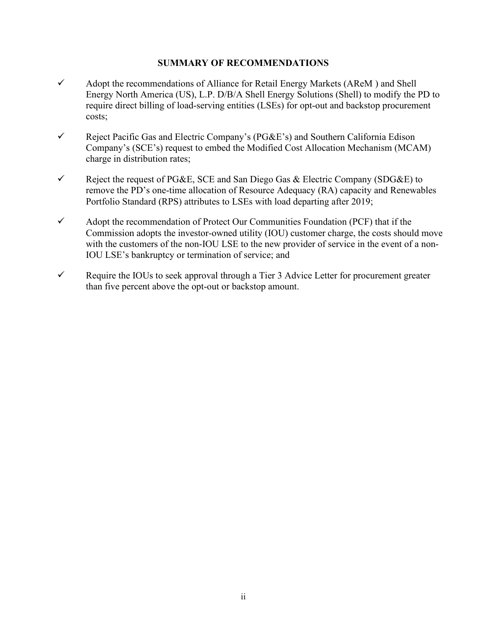#### **SUMMARY OF RECOMMENDATIONS**

- $\checkmark$  Adopt the recommendations of Alliance for Retail Energy Markets (AReM) and Shell Energy North America (US), L.P. D/B/A Shell Energy Solutions (Shell) to modify the PD to require direct billing of load-serving entities (LSEs) for opt-out and backstop procurement costs;
- $\checkmark$  Reject Pacific Gas and Electric Company's (PG&E's) and Southern California Edison Company's (SCE's) request to embed the Modified Cost Allocation Mechanism (MCAM) charge in distribution rates;
- $\checkmark$  Reject the request of PG&E, SCE and San Diego Gas & Electric Company (SDG&E) to remove the PD's one-time allocation of Resource Adequacy (RA) capacity and Renewables Portfolio Standard (RPS) attributes to LSEs with load departing after 2019;
- $\checkmark$  Adopt the recommendation of Protect Our Communities Foundation (PCF) that if the Commission adopts the investor-owned utility (IOU) customer charge, the costs should move with the customers of the non-IOU LSE to the new provider of service in the event of a non-IOU LSE's bankruptcy or termination of service; and
- $\checkmark$  Require the IOUs to seek approval through a Tier 3 Advice Letter for procurement greater than five percent above the opt-out or backstop amount.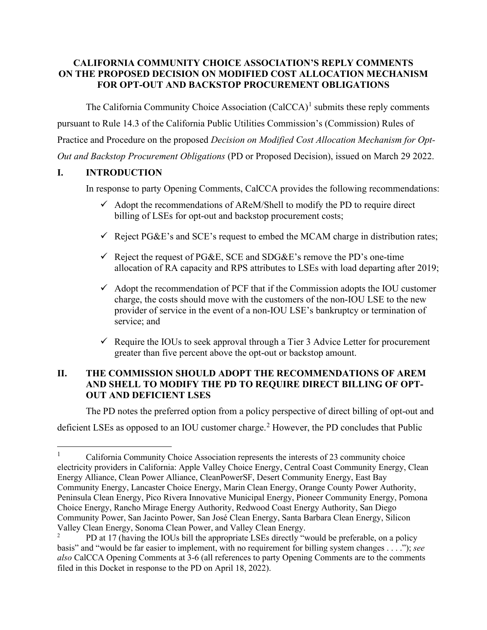#### **CALIFORNIA COMMUNITY CHOICE ASSOCIATION'S REPLY COMMENTS ON THE PROPOSED DECISION ON MODIFIED COST ALLOCATION MECHANISM FOR OPT-OUT AND BACKSTOP PROCUREMENT OBLIGATIONS**

The California Community Choice Association (CalCCA)<sup>[1](#page-3-2)</sup> submits these reply comments pursuant to Rule 14.3 of the California Public Utilities Commission's (Commission) Rules of Practice and Procedure on the proposed *Decision on Modified Cost Allocation Mechanism for Opt-Out and Backstop Procurement Obligations* (PD or Proposed Decision), issued on March 29 2022.

## <span id="page-3-0"></span>**I. INTRODUCTION**

In response to party Opening Comments, CalCCA provides the following recommendations:

- $\checkmark$  Adopt the recommendations of AReM/Shell to modify the PD to require direct billing of LSEs for opt-out and backstop procurement costs;
- $\checkmark$  Reject PG&E's and SCE's request to embed the MCAM charge in distribution rates;
- $\checkmark$  Reject the request of PG&E, SCE and SDG&E's remove the PD's one-time allocation of RA capacity and RPS attributes to LSEs with load departing after 2019;
- $\checkmark$  Adopt the recommendation of PCF that if the Commission adopts the IOU customer charge, the costs should move with the customers of the non-IOU LSE to the new provider of service in the event of a non-IOU LSE's bankruptcy or termination of service; and
- Require the IOUs to seek approval through a Tier 3 Advice Letter for procurement greater than five percent above the opt-out or backstop amount.

## <span id="page-3-1"></span>**II. THE COMMISSION SHOULD ADOPT THE RECOMMENDATIONS OF AREM AND SHELL TO MODIFY THE PD TO REQUIRE DIRECT BILLING OF OPT-OUT AND DEFICIENT LSES**

The PD notes the preferred option from a policy perspective of direct billing of opt-out and

deficient LSEs as opposed to an IOU customer charge.<sup>[2](#page-3-3)</sup> However, the PD concludes that Public

<span id="page-3-2"></span><sup>1</sup> California Community Choice Association represents the interests of 23 community choice electricity providers in California: Apple Valley Choice Energy, Central Coast Community Energy, Clean Energy Alliance, Clean Power Alliance, CleanPowerSF, Desert Community Energy, East Bay Community Energy, Lancaster Choice Energy, Marin Clean Energy, Orange County Power Authority, Peninsula Clean Energy, Pico Rivera Innovative Municipal Energy, Pioneer Community Energy, Pomona Choice Energy, Rancho Mirage Energy Authority, Redwood Coast Energy Authority, San Diego Community Power, San Jacinto Power, San José Clean Energy, Santa Barbara Clean Energy, Silicon Valley Clean Energy, Sonoma Clean Power, and Valley Clean Energy.

<span id="page-3-3"></span><sup>2</sup> PD at 17 (having the IOUs bill the appropriate LSEs directly "would be preferable, on a policy basis" and "would be far easier to implement, with no requirement for billing system changes . . . ."); *see also* CalCCA Opening Comments at 3-6 (all references to party Opening Comments are to the comments filed in this Docket in response to the PD on April 18, 2022).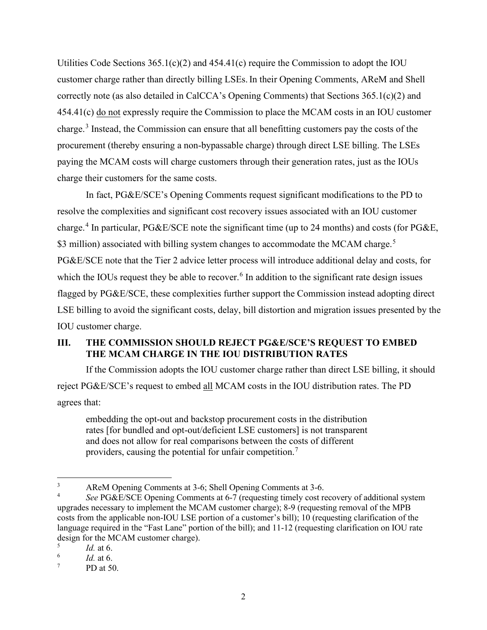Utilities Code Sections  $365.1(c)(2)$  and  $454.41(c)$  require the Commission to adopt the IOU customer charge rather than directly billing LSEs.In their Opening Comments, AReM and Shell correctly note (as also detailed in CalCCA's Opening Comments) that Sections 365.1(c)(2) and 454.41(c) do not expressly require the Commission to place the MCAM costs in an IOU customer charge.<sup>[3](#page-4-1)</sup> Instead, the Commission can ensure that all benefitting customers pay the costs of the procurement (thereby ensuring a non-bypassable charge) through direct LSE billing. The LSEs paying the MCAM costs will charge customers through their generation rates, just as the IOUs charge their customers for the same costs.

In fact, PG&E/SCE's Opening Comments request significant modifications to the PD to resolve the complexities and significant cost recovery issues associated with an IOU customer charge. [4](#page-4-2) In particular, PG&E/SCE note the significant time (up to 24 months) and costs (for PG&E, \$3 million) associated with billing system changes to accommodate the MCAM charge.<sup>[5](#page-4-3)</sup> PG&E/SCE note that the Tier 2 advice letter process will introduce additional delay and costs, for which the IOUs request they be able to recover.<sup>[6](#page-4-4)</sup> In addition to the significant rate design issues flagged by PG&E/SCE, these complexities further support the Commission instead adopting direct LSE billing to avoid the significant costs, delay, bill distortion and migration issues presented by the IOU customer charge.

## <span id="page-4-0"></span>**III. THE COMMISSION SHOULD REJECT PG&E/SCE'S REQUEST TO EMBED THE MCAM CHARGE IN THE IOU DISTRIBUTION RATES**

If the Commission adopts the IOU customer charge rather than direct LSE billing, it should reject PG&E/SCE's request to embed all MCAM costs in the IOU distribution rates. The PD agrees that:

embedding the opt-out and backstop procurement costs in the distribution rates [for bundled and opt-out/deficient LSE customers] is not transparent and does not allow for real comparisons between the costs of different providers, causing the potential for unfair competition.[7](#page-4-5)

<span id="page-4-1"></span><sup>3</sup> AReM Opening Comments at 3-6; Shell Opening Comments at 3-6.

<span id="page-4-2"></span><sup>4</sup> *See* PG&E/SCE Opening Comments at 6-7 (requesting timely cost recovery of additional system upgrades necessary to implement the MCAM customer charge); 8-9 (requesting removal of the MPB costs from the applicable non-IOU LSE portion of a customer's bill); 10 (requesting clarification of the language required in the "Fast Lane" portion of the bill); and 11-12 (requesting clarification on IOU rate design for the MCAM customer charge).

<span id="page-4-3"></span><sup>5</sup> *Id.* at 6.

<span id="page-4-4"></span><sup>6</sup> *Id.* at 6.

<span id="page-4-5"></span><sup>7</sup> PD at 50.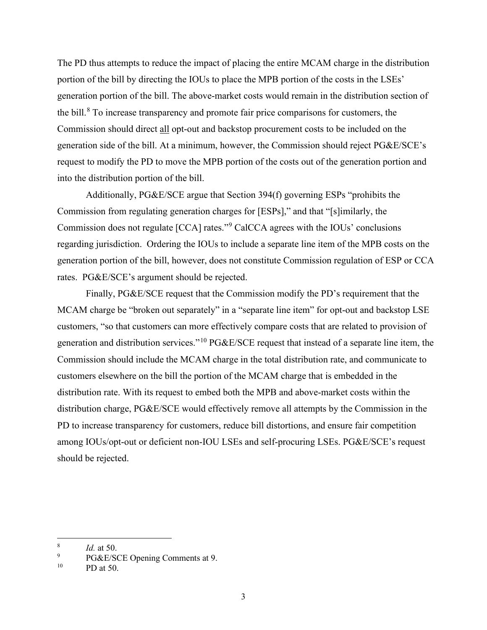The PD thus attempts to reduce the impact of placing the entire MCAM charge in the distribution portion of the bill by directing the IOUs to place the MPB portion of the costs in the LSEs' generation portion of the bill. The above-market costs would remain in the distribution section of the bill.<sup>[8](#page-5-0)</sup> To increase transparency and promote fair price comparisons for customers, the Commission should direct all opt-out and backstop procurement costs to be included on the generation side of the bill. At a minimum, however, the Commission should reject PG&E/SCE's request to modify the PD to move the MPB portion of the costs out of the generation portion and into the distribution portion of the bill.

Additionally, PG&E/SCE argue that Section 394(f) governing ESPs "prohibits the Commission from regulating generation charges for [ESPs]," and that "[s]imilarly, the Commission does not regulate [CCA] rates."[9](#page-5-1) CalCCA agrees with the IOUs' conclusions regarding jurisdiction. Ordering the IOUs to include a separate line item of the MPB costs on the generation portion of the bill, however, does not constitute Commission regulation of ESP or CCA rates. PG&E/SCE's argument should be rejected.

Finally, PG&E/SCE request that the Commission modify the PD's requirement that the MCAM charge be "broken out separately" in a "separate line item" for opt-out and backstop LSE customers, "so that customers can more effectively compare costs that are related to provision of generation and distribution services."[10](#page-5-2) PG&E/SCE request that instead of a separate line item, the Commission should include the MCAM charge in the total distribution rate, and communicate to customers elsewhere on the bill the portion of the MCAM charge that is embedded in the distribution rate. With its request to embed both the MPB and above-market costs within the distribution charge, PG&E/SCE would effectively remove all attempts by the Commission in the PD to increase transparency for customers, reduce bill distortions, and ensure fair competition among IOUs/opt-out or deficient non-IOU LSEs and self-procuring LSEs. PG&E/SCE's request should be rejected.

<span id="page-5-0"></span><sup>8</sup> *Id.* at 50.

<span id="page-5-2"></span><span id="page-5-1"></span><sup>9</sup>  $^{9}$  PG&E/SCE Opening Comments at 9.<br><sup>10</sup> PD at 50

PD at 50.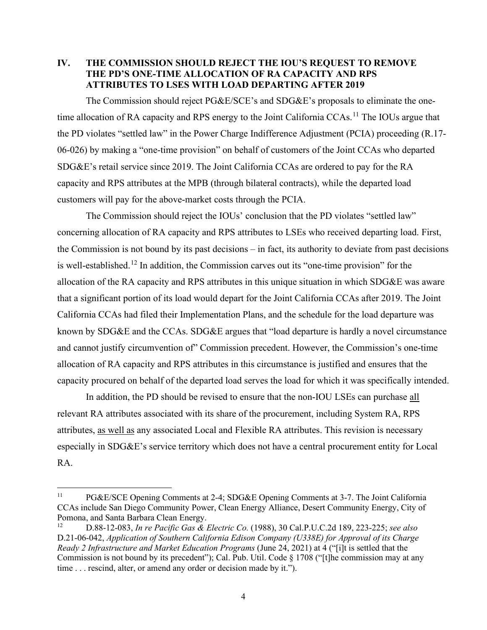#### <span id="page-6-0"></span>**IV. THE COMMISSION SHOULD REJECT THE IOU'S REQUEST TO REMOVE THE PD'S ONE-TIME ALLOCATION OF RA CAPACITY AND RPS ATTRIBUTES TO LSES WITH LOAD DEPARTING AFTER 2019**

The Commission should reject PG&E/SCE's and SDG&E's proposals to eliminate the one-time allocation of RA capacity and RPS energy to the Joint California CCAs.<sup>[11](#page-6-1)</sup> The IOUs argue that the PD violates "settled law" in the Power Charge Indifference Adjustment (PCIA) proceeding (R.17- 06-026) by making a "one-time provision" on behalf of customers of the Joint CCAs who departed SDG&E's retail service since 2019. The Joint California CCAs are ordered to pay for the RA capacity and RPS attributes at the MPB (through bilateral contracts), while the departed load customers will pay for the above-market costs through the PCIA.

The Commission should reject the IOUs' conclusion that the PD violates "settled law" concerning allocation of RA capacity and RPS attributes to LSEs who received departing load. First, the Commission is not bound by its past decisions – in fact, its authority to deviate from past decisions is well-established.[12](#page-6-2) In addition, the Commission carves out its "one-time provision" for the allocation of the RA capacity and RPS attributes in this unique situation in which SDG&E was aware that a significant portion of its load would depart for the Joint California CCAs after 2019. The Joint California CCAs had filed their Implementation Plans, and the schedule for the load departure was known by SDG&E and the CCAs. SDG&E argues that "load departure is hardly a novel circumstance and cannot justify circumvention of" Commission precedent. However, the Commission's one-time allocation of RA capacity and RPS attributes in this circumstance is justified and ensures that the capacity procured on behalf of the departed load serves the load for which it was specifically intended.

In addition, the PD should be revised to ensure that the non-IOU LSEs can purchase all relevant RA attributes associated with its share of the procurement, including System RA, RPS attributes, as well as any associated Local and Flexible RA attributes. This revision is necessary especially in SDG&E's service territory which does not have a central procurement entity for Local RA.

<span id="page-6-1"></span><sup>11</sup> PG&E/SCE Opening Comments at 2-4; SDG&E Opening Comments at 3-7. The Joint California CCAs include San Diego Community Power, Clean Energy Alliance, Desert Community Energy, City of Pomona, and Santa Barbara Clean Energy.<br> $\frac{12}{2}$   $\frac{12.083 \text{ Jn} \text{ re} \text{ Pacific Gas} \text{ &}12.083}{\frac{12.083 \text{ Jn} \text{ re} \text{ Pacific Gas} \text{ &}12.083}{\frac{12.083 \text{ Jn} \text{ re} \text{ Pacific Gas} \text{ &}12.083}}$ 

<span id="page-6-2"></span><sup>12</sup> D.88-12-083, *In re Pacific Gas & Electric Co.* (1988), 30 Cal.P.U.C.2d 189, 223-225; *see also*  D.21-06-042, *Application of Southern California Edison Company (U338E) for Approval of its Charge Ready 2 Infrastructure and Market Education Programs* (June 24, 2021) at 4 ("[i]t is settled that the Commission is not bound by its precedent"); Cal. Pub. Util. Code § 1708 ("[t]he commission may at any time . . . rescind, alter, or amend any order or decision made by it.").